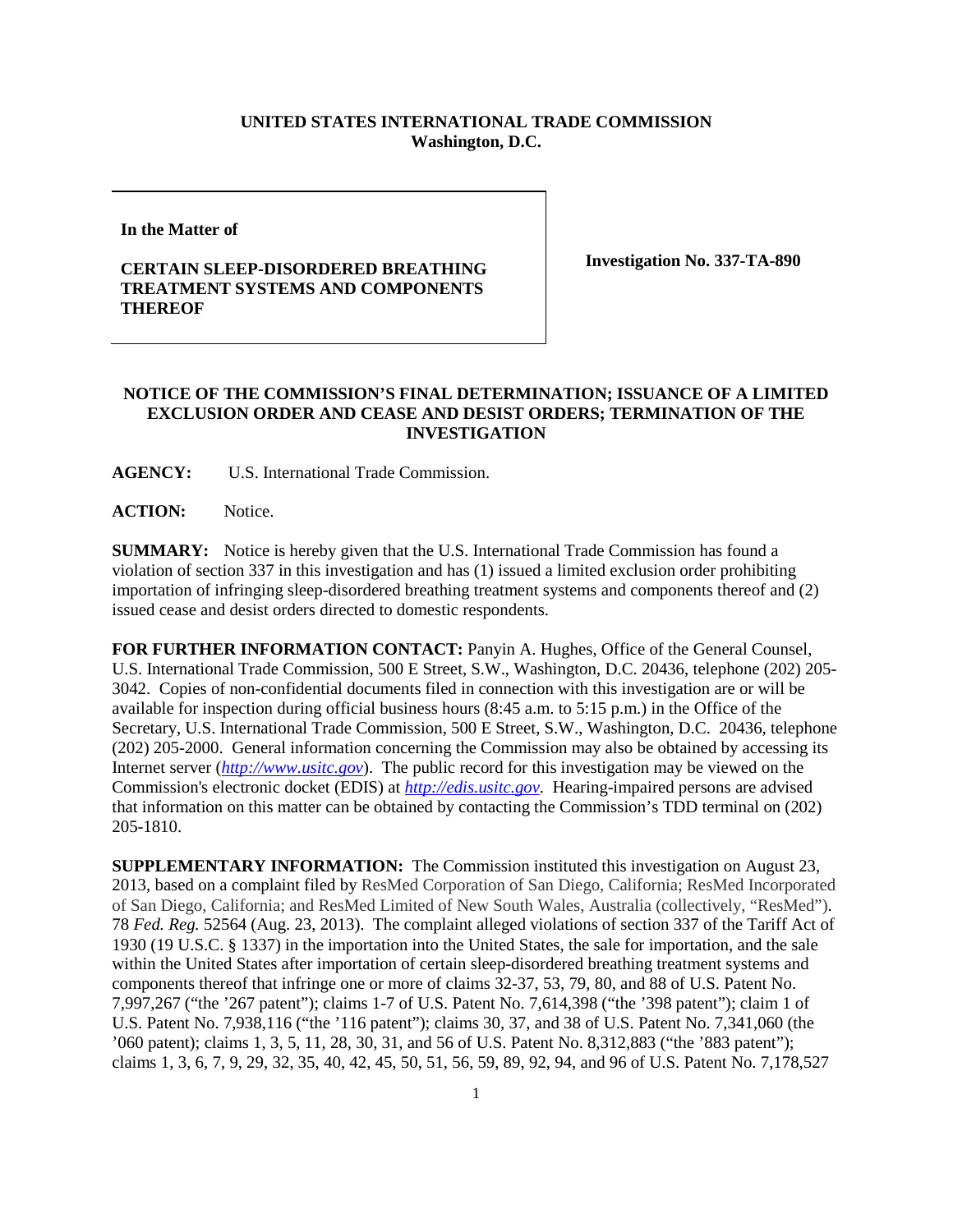## **UNITED STATES INTERNATIONAL TRADE COMMISSION Washington, D.C.**

**In the Matter of**

## **CERTAIN SLEEP-DISORDERED BREATHING TREATMENT SYSTEMS AND COMPONENTS THEREOF**

**Investigation No. 337-TA-890**

## **NOTICE OF THE COMMISSION'S FINAL DETERMINATION; ISSUANCE OF A LIMITED EXCLUSION ORDER AND CEASE AND DESIST ORDERS; TERMINATION OF THE INVESTIGATION**

**AGENCY:** U.S. International Trade Commission.

ACTION: Notice.

**SUMMARY:** Notice is hereby given that the U.S. International Trade Commission has found a violation of section 337 in this investigation and has (1) issued a limited exclusion order prohibiting importation of infringing sleep-disordered breathing treatment systems and components thereof and (2) issued cease and desist orders directed to domestic respondents.

**FOR FURTHER INFORMATION CONTACT:** Panyin A. Hughes, Office of the General Counsel, U.S. International Trade Commission, 500 E Street, S.W., Washington, D.C. 20436, telephone (202) 205- 3042. Copies of non-confidential documents filed in connection with this investigation are or will be available for inspection during official business hours (8:45 a.m. to 5:15 p.m.) in the Office of the Secretary, U.S. International Trade Commission, 500 E Street, S.W., Washington, D.C. 20436, telephone (202) 205-2000. General information concerning the Commission may also be obtained by accessing its Internet server (*[http://www.usitc.gov](http://www.usitc.gov/)*). The public record for this investigation may be viewed on the Commission's electronic docket (EDIS) at *[http://edis.usitc.gov.](http://edis.usitc.gov/)* Hearing-impaired persons are advised that information on this matter can be obtained by contacting the Commission's TDD terminal on (202) 205-1810.

**SUPPLEMENTARY INFORMATION:** The Commission instituted this investigation on August 23, 2013, based on a complaint filed by ResMed Corporation of San Diego, California; ResMed Incorporated of San Diego, California; and ResMed Limited of New South Wales, Australia (collectively, "ResMed"). 78 *Fed. Reg.* 52564 (Aug. 23, 2013). The complaint alleged violations of section 337 of the Tariff Act of 1930 (19 U.S.C. § 1337) in the importation into the United States, the sale for importation, and the sale within the United States after importation of certain sleep-disordered breathing treatment systems and components thereof that infringe one or more of claims 32-37, 53, 79, 80, and 88 of U.S. Patent No. 7,997,267 ("the '267 patent"); claims 1-7 of U.S. Patent No. 7,614,398 ("the '398 patent"); claim 1 of U.S. Patent No. 7,938,116 ("the '116 patent"); claims 30, 37, and 38 of U.S. Patent No. 7,341,060 (the '060 patent); claims 1, 3, 5, 11, 28, 30, 31, and 56 of U.S. Patent No. 8,312,883 ("the '883 patent"); claims 1, 3, 6, 7, 9, 29, 32, 35, 40, 42, 45, 50, 51, 56, 59, 89, 92, 94, and 96 of U.S. Patent No. 7,178,527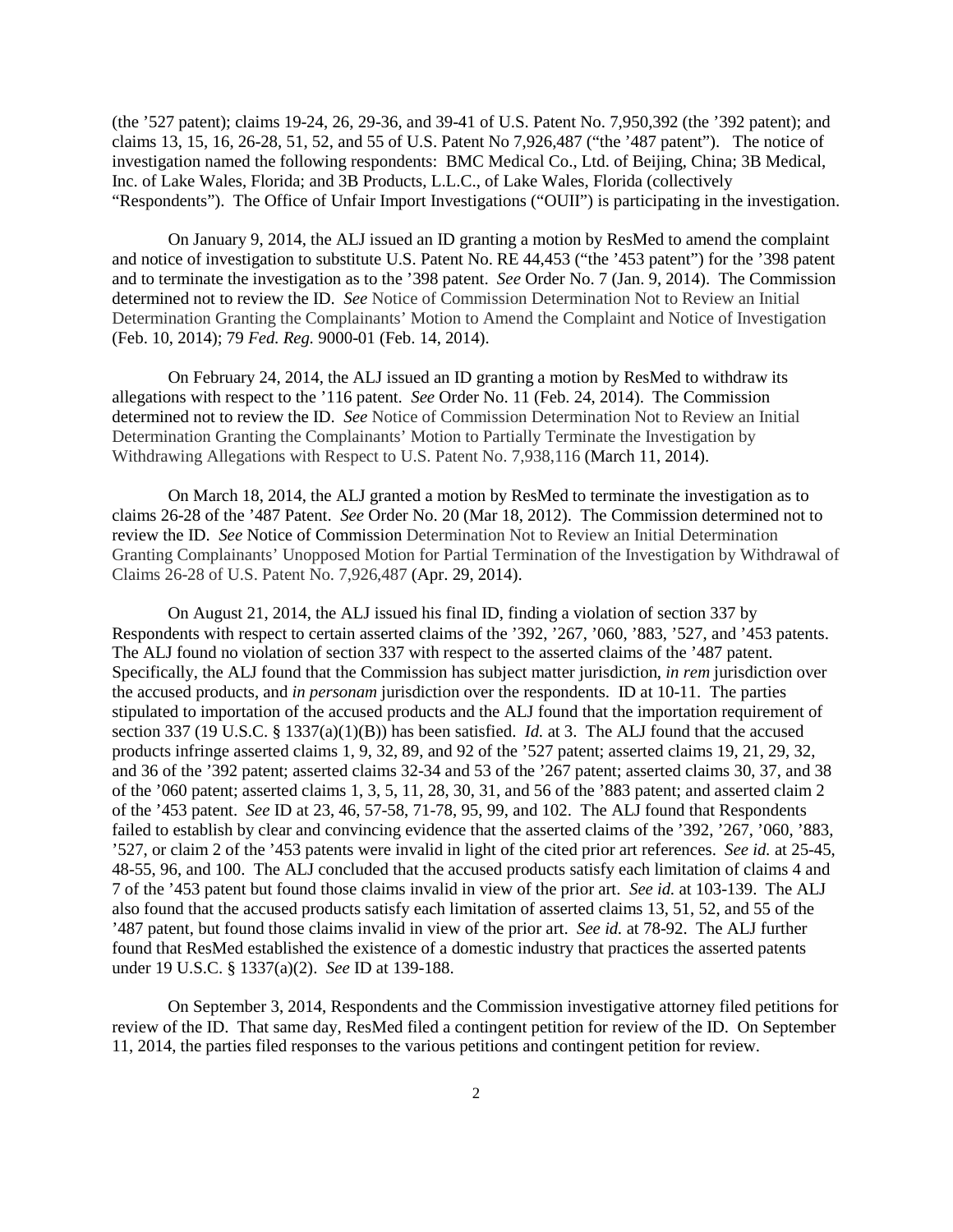(the '527 patent); claims 19-24, 26, 29-36, and 39-41 of U.S. Patent No. 7,950,392 (the '392 patent); and claims 13, 15, 16, 26-28, 51, 52, and 55 of U.S. Patent No 7,926,487 ("the '487 patent"). The notice of investigation named the following respondents: BMC Medical Co., Ltd. of Beijing, China; 3B Medical, Inc. of Lake Wales, Florida; and 3B Products, L.L.C., of Lake Wales, Florida (collectively "Respondents"). The Office of Unfair Import Investigations ("OUII") is participating in the investigation.

On January 9, 2014, the ALJ issued an ID granting a motion by ResMed to amend the complaint and notice of investigation to substitute U.S. Patent No. RE 44,453 ("the '453 patent") for the '398 patent and to terminate the investigation as to the '398 patent. *See* Order No. 7 (Jan. 9, 2014). The Commission determined not to review the ID. *See* Notice of Commission Determination Not to Review an Initial Determination Granting the Complainants' Motion to Amend the Complaint and Notice of Investigation (Feb. 10, 2014); 79 *Fed. Reg.* 9000-01 (Feb. 14, 2014).

On February 24, 2014, the ALJ issued an ID granting a motion by ResMed to withdraw its allegations with respect to the '116 patent. *See* Order No. 11 (Feb. 24, 2014). The Commission determined not to review the ID. *See* Notice of Commission Determination Not to Review an Initial Determination Granting the Complainants' Motion to Partially Terminate the Investigation by Withdrawing Allegations with Respect to U.S. Patent No. 7,938,116 (March 11, 2014).

On March 18, 2014, the ALJ granted a motion by ResMed to terminate the investigation as to claims 26-28 of the '487 Patent. *See* Order No. 20 (Mar 18, 2012). The Commission determined not to review the ID. *See* Notice of Commission Determination Not to Review an Initial Determination Granting Complainants' Unopposed Motion for Partial Termination of the Investigation by Withdrawal of Claims 26-28 of U.S. Patent No. 7,926,487 (Apr. 29, 2014).

On August 21, 2014, the ALJ issued his final ID, finding a violation of section 337 by Respondents with respect to certain asserted claims of the '392, '267, '060, '883, '527, and '453 patents. The ALJ found no violation of section 337 with respect to the asserted claims of the '487 patent. Specifically, the ALJ found that the Commission has subject matter jurisdiction, *in rem* jurisdiction over the accused products, and *in personam* jurisdiction over the respondents. ID at 10-11. The parties stipulated to importation of the accused products and the ALJ found that the importation requirement of section 337 (19 U.S.C. § 1337(a)(1)(B)) has been satisfied. *Id.* at 3. The ALJ found that the accused products infringe asserted claims 1, 9, 32, 89, and 92 of the '527 patent; asserted claims 19, 21, 29, 32, and 36 of the '392 patent; asserted claims 32-34 and 53 of the '267 patent; asserted claims 30, 37, and 38 of the '060 patent; asserted claims 1, 3, 5, 11, 28, 30, 31, and 56 of the '883 patent; and asserted claim 2 of the '453 patent. *See* ID at 23, 46, 57-58, 71-78, 95, 99, and 102. The ALJ found that Respondents failed to establish by clear and convincing evidence that the asserted claims of the '392, '267, '060, '883, '527, or claim 2 of the '453 patents were invalid in light of the cited prior art references. *See id.* at 25-45, 48-55, 96, and 100. The ALJ concluded that the accused products satisfy each limitation of claims 4 and 7 of the '453 patent but found those claims invalid in view of the prior art. *See id.* at 103-139. The ALJ also found that the accused products satisfy each limitation of asserted claims 13, 51, 52, and 55 of the '487 patent, but found those claims invalid in view of the prior art. *See id.* at 78-92. The ALJ further found that ResMed established the existence of a domestic industry that practices the asserted patents under 19 U.S.C. § 1337(a)(2). *See* ID at 139-188.

On September 3, 2014, Respondents and the Commission investigative attorney filed petitions for review of the ID. That same day, ResMed filed a contingent petition for review of the ID. On September 11, 2014, the parties filed responses to the various petitions and contingent petition for review.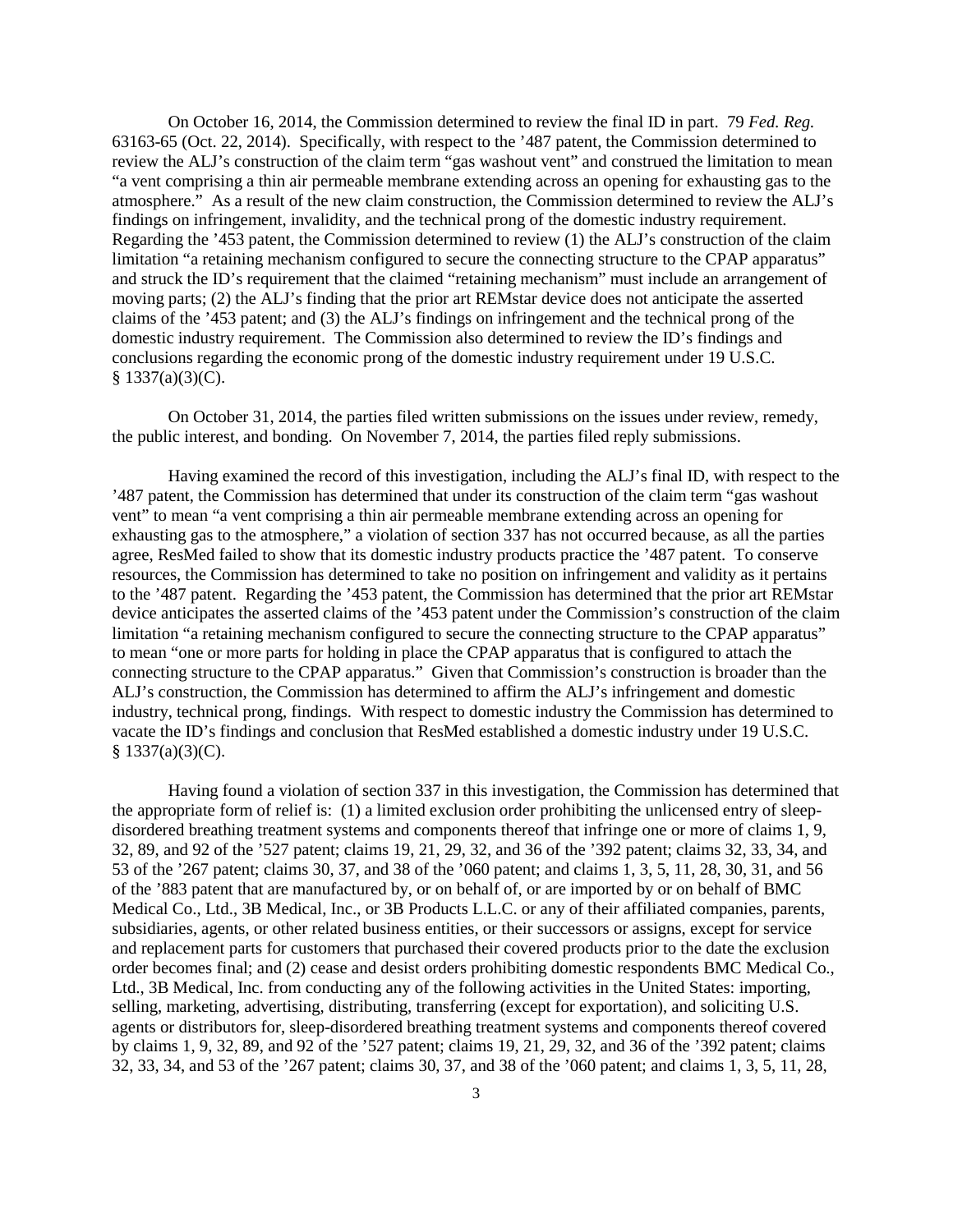On October 16, 2014, the Commission determined to review the final ID in part. 79 *Fed. Reg.* 63163-65 (Oct. 22, 2014). Specifically, with respect to the '487 patent, the Commission determined to review the ALJ's construction of the claim term "gas washout vent" and construed the limitation to mean "a vent comprising a thin air permeable membrane extending across an opening for exhausting gas to the atmosphere." As a result of the new claim construction, the Commission determined to review the ALJ's findings on infringement, invalidity, and the technical prong of the domestic industry requirement. Regarding the '453 patent, the Commission determined to review (1) the ALJ's construction of the claim limitation "a retaining mechanism configured to secure the connecting structure to the CPAP apparatus" and struck the ID's requirement that the claimed "retaining mechanism" must include an arrangement of moving parts; (2) the ALJ's finding that the prior art REMstar device does not anticipate the asserted claims of the '453 patent; and (3) the ALJ's findings on infringement and the technical prong of the domestic industry requirement. The Commission also determined to review the ID's findings and conclusions regarding the economic prong of the domestic industry requirement under 19 U.S.C.  $$ 1337(a)(3)(C).$ 

On October 31, 2014, the parties filed written submissions on the issues under review, remedy, the public interest, and bonding. On November 7, 2014, the parties filed reply submissions.

Having examined the record of this investigation, including the ALJ's final ID, with respect to the '487 patent, the Commission has determined that under its construction of the claim term "gas washout vent" to mean "a vent comprising a thin air permeable membrane extending across an opening for exhausting gas to the atmosphere," a violation of section 337 has not occurred because, as all the parties agree, ResMed failed to show that its domestic industry products practice the '487 patent. To conserve resources, the Commission has determined to take no position on infringement and validity as it pertains to the '487 patent. Regarding the '453 patent, the Commission has determined that the prior art REMstar device anticipates the asserted claims of the '453 patent under the Commission's construction of the claim limitation "a retaining mechanism configured to secure the connecting structure to the CPAP apparatus" to mean "one or more parts for holding in place the CPAP apparatus that is configured to attach the connecting structure to the CPAP apparatus." Given that Commission's construction is broader than the ALJ's construction, the Commission has determined to affirm the ALJ's infringement and domestic industry, technical prong, findings. With respect to domestic industry the Commission has determined to vacate the ID's findings and conclusion that ResMed established a domestic industry under 19 U.S.C.  $§ 1337(a)(3)(C).$ 

Having found a violation of section 337 in this investigation, the Commission has determined that the appropriate form of relief is: (1) a limited exclusion order prohibiting the unlicensed entry of sleepdisordered breathing treatment systems and components thereof that infringe one or more of claims 1, 9, 32, 89, and 92 of the '527 patent; claims 19, 21, 29, 32, and 36 of the '392 patent; claims 32, 33, 34, and 53 of the '267 patent; claims 30, 37, and 38 of the '060 patent; and claims 1, 3, 5, 11, 28, 30, 31, and 56 of the '883 patent that are manufactured by, or on behalf of, or are imported by or on behalf of BMC Medical Co., Ltd., 3B Medical, Inc., or 3B Products L.L.C. or any of their affiliated companies, parents, subsidiaries, agents, or other related business entities, or their successors or assigns, except for service and replacement parts for customers that purchased their covered products prior to the date the exclusion order becomes final; and (2) cease and desist orders prohibiting domestic respondents BMC Medical Co., Ltd., 3B Medical, Inc. from conducting any of the following activities in the United States: importing, selling, marketing, advertising, distributing, transferring (except for exportation), and soliciting U.S. agents or distributors for, sleep-disordered breathing treatment systems and components thereof covered by claims 1, 9, 32, 89, and 92 of the '527 patent; claims 19, 21, 29, 32, and 36 of the '392 patent; claims 32, 33, 34, and 53 of the '267 patent; claims 30, 37, and 38 of the '060 patent; and claims 1, 3, 5, 11, 28,